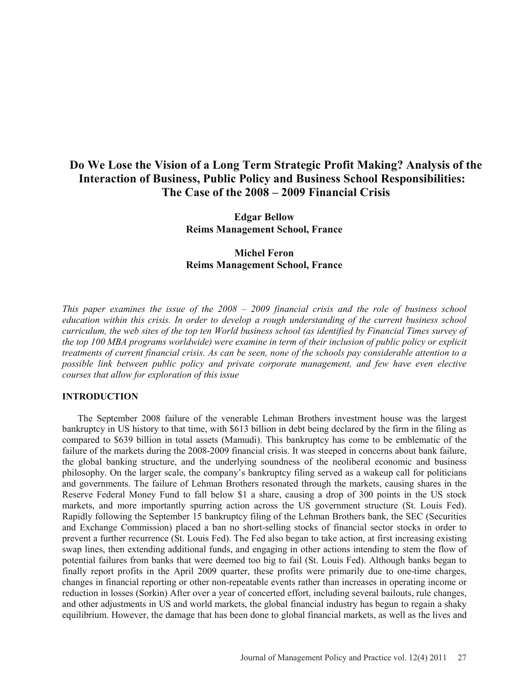# **Do We Lose the Vision of a Long Term Strategic Profit Making? Analysis of the Interaction of Business, Public Policy and Business School Responsibilities: The Case of the 2008 – 2009 Financial Crisis**

**Edgar Bellow Reims Management School, France** 

# **Michel Feron Reims Management School, France**

*This paper examines the issue of the 2008 – 2009 financial crisis and the role of business school education within this crisis. In order to develop a rough understanding of the current business school curriculum, the web sites of the top ten World business school (as identified by Financial Times survey of the top 100 MBA programs worldwide) were examine in term of their inclusion of public policy or explicit treatments of current financial crisis. As can be seen, none of the schools pay considerable attention to a possible link between public policy and private corporate management, and few have even elective courses that allow for exploration of this issue* 

# **INTRODUCTION**

 The September 2008 failure of the venerable Lehman Brothers investment house was the largest bankruptcy in US history to that time, with \$613 billion in debt being declared by the firm in the filing as compared to \$639 billion in total assets (Mamudi). This bankruptcy has come to be emblematic of the failure of the markets during the 2008-2009 financial crisis. It was steeped in concerns about bank failure, the global banking structure, and the underlying soundness of the neoliberal economic and business philosophy. On the larger scale, the company's bankruptcy filing served as a wakeup call for politicians and governments. The failure of Lehman Brothers resonated through the markets, causing shares in the Reserve Federal Money Fund to fall below \$1 a share, causing a drop of 300 points in the US stock markets, and more importantly spurring action across the US government structure (St. Louis Fed). Rapidly following the September 15 bankruptcy filing of the Lehman Brothers bank, the SEC (Securities and Exchange Commission) placed a ban no short-selling stocks of financial sector stocks in order to prevent a further recurrence (St. Louis Fed). The Fed also began to take action, at first increasing existing swap lines, then extending additional funds, and engaging in other actions intending to stem the flow of potential failures from banks that were deemed too big to fail (St. Louis Fed). Although banks began to finally report profits in the April 2009 quarter, these profits were primarily due to one-time charges, changes in financial reporting or other non-repeatable events rather than increases in operating income or reduction in losses (Sorkin) After over a year of concerted effort, including several bailouts, rule changes, and other adjustments in US and world markets, the global financial industry has begun to regain a shaky equilibrium. However, the damage that has been done to global financial markets, as well as the lives and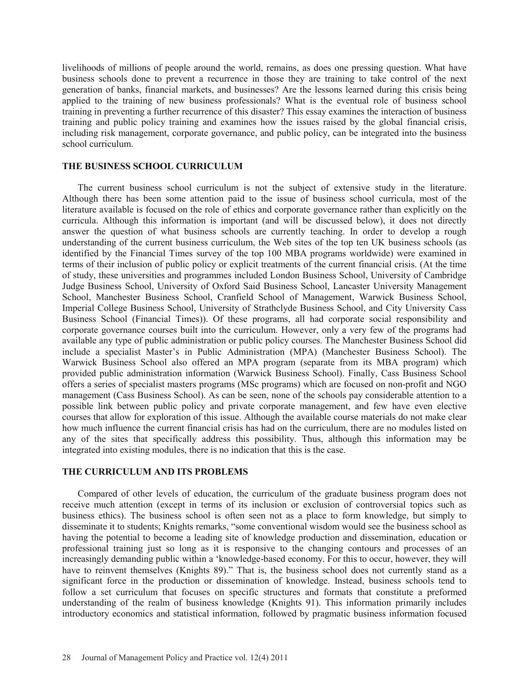livelihoods of millions of people around the world, remains, as does one pressing question. What have business schools done to prevent a recurrence in those they are training to take control of the next generation of banks, financial markets, and businesses? Are the lessons learned during this crisis being applied to the training of new business professionals? What is the eventual role of business school training in preventing a further recurrence of this disaster? This essay examines the interaction of business training and public policy training and examines how the issues raised by the global financial crisis, including risk management, corporate governance, and public policy, can be integrated into the business school curriculum.

### **THE BUSINESS SCHOOL CURRICULUM**

 The current business school curriculum is not the subject of extensive study in the literature. Although there has been some attention paid to the issue of business school curricula, most of the literature available is focused on the role of ethics and corporate governance rather than explicitly on the curricula. Although this information is important (and will be discussed below), it does not directly answer the question of what business schools are currently teaching. In order to develop a rough understanding of the current business curriculum, the Web sites of the top ten UK business schools (as identified by the Financial Times survey of the top 100 MBA programs worldwide) were examined in terms of their inclusion of public policy or explicit treatments of the current financial crisis. (At the time of study, these universities and programmes included London Business School, University of Cambridge Judge Business School, University of Oxford Said Business School, Lancaster University Management School, Manchester Business School, Cranfield School of Management, Warwick Business School, Imperial College Business School, University of Strathclyde Business School, and City University Cass Business School (Financial Times)). Of these programs, all had corporate social responsibility and corporate governance courses built into the curriculum. However, only a very few of the programs had available any type of public administration or public policy courses. The Manchester Business School did include a specialist Master's in Public Administration (MPA) (Manchester Business School). The Warwick Business School also offered an MPA program (separate from its MBA program) which provided public administration information (Warwick Business School). Finally, Cass Business School offers a series of specialist masters programs (MSc programs) which are focused on non-profit and NGO management (Cass Business School). As can be seen, none of the schools pay considerable attention to a possible link between public policy and private corporate management, and few have even elective courses that allow for exploration of this issue. Although the available course materials do not make clear how much influence the current financial crisis has had on the curriculum, there are no modules listed on any of the sites that specifically address this possibility. Thus, although this information may be integrated into existing modules, there is no indication that this is the case.

### **THE CURRICULUM AND ITS PROBLEMS**

 Compared of other levels of education, the curriculum of the graduate business program does not receive much attention (except in terms of its inclusion or exclusion of controversial topics such as business ethics). The business school is often seen not as a place to form knowledge, but simply to disseminate it to students; Knights remarks, "some conventional wisdom would see the business school as having the potential to become a leading site of knowledge production and dissemination, education or professional training just so long as it is responsive to the changing contours and processes of an increasingly demanding public within a 'knowledge-based economy. For this to occur, however, they will have to reinvent themselves (Knights 89)." That is, the business school does not currently stand as a significant force in the production or dissemination of knowledge. Instead, business schools tend to follow a set curriculum that focuses on specific structures and formats that constitute a preformed understanding of the realm of business knowledge (Knights 91). This information primarily includes introductory economics and statistical information, followed by pragmatic business information focused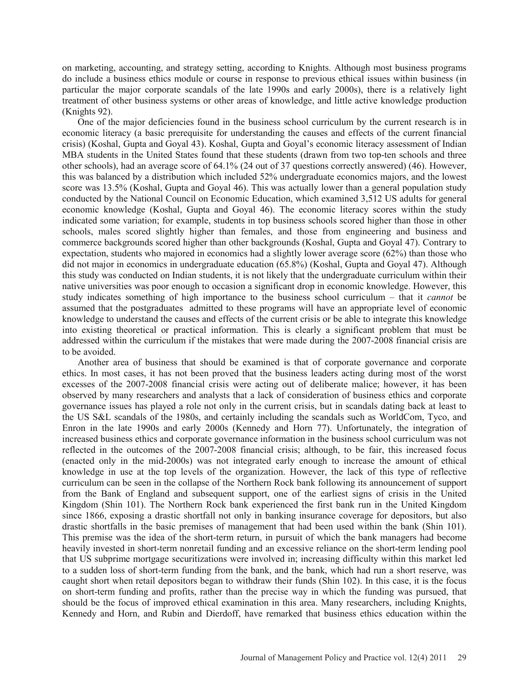on marketing, accounting, and strategy setting, according to Knights. Although most business programs do include a business ethics module or course in response to previous ethical issues within business (in particular the major corporate scandals of the late 1990s and early 2000s), there is a relatively light treatment of other business systems or other areas of knowledge, and little active knowledge production (Knights 92).

 One of the major deficiencies found in the business school curriculum by the current research is in economic literacy (a basic prerequisite for understanding the causes and effects of the current financial crisis) (Koshal, Gupta and Goyal 43). Koshal, Gupta and Goyal's economic literacy assessment of Indian MBA students in the United States found that these students (drawn from two top-ten schools and three other schools), had an average score of 64.1% (24 out of 37 questions correctly answered) (46). However, this was balanced by a distribution which included 52% undergraduate economics majors, and the lowest score was 13.5% (Koshal, Gupta and Goyal 46). This was actually lower than a general population study conducted by the National Council on Economic Education, which examined 3,512 US adults for general economic knowledge (Koshal, Gupta and Goyal 46). The economic literacy scores within the study indicated some variation; for example, students in top business schools scored higher than those in other schools, males scored slightly higher than females, and those from engineering and business and commerce backgrounds scored higher than other backgrounds (Koshal, Gupta and Goyal 47). Contrary to expectation, students who majored in economics had a slightly lower average score (62%) than those who did not major in economics in undergraduate education (65.8%) (Koshal, Gupta and Goyal 47). Although this study was conducted on Indian students, it is not likely that the undergraduate curriculum within their native universities was poor enough to occasion a significant drop in economic knowledge. However, this study indicates something of high importance to the business school curriculum – that it *cannot* be assumed that the postgraduates admitted to these programs will have an appropriate level of economic knowledge to understand the causes and effects of the current crisis or be able to integrate this knowledge into existing theoretical or practical information. This is clearly a significant problem that must be addressed within the curriculum if the mistakes that were made during the 2007-2008 financial crisis are to be avoided.

 Another area of business that should be examined is that of corporate governance and corporate ethics. In most cases, it has not been proved that the business leaders acting during most of the worst excesses of the 2007-2008 financial crisis were acting out of deliberate malice; however, it has been observed by many researchers and analysts that a lack of consideration of business ethics and corporate governance issues has played a role not only in the current crisis, but in scandals dating back at least to the US S&L scandals of the 1980s, and certainly including the scandals such as WorldCom, Tyco, and Enron in the late 1990s and early 2000s (Kennedy and Horn 77). Unfortunately, the integration of increased business ethics and corporate governance information in the business school curriculum was not reflected in the outcomes of the 2007-2008 financial crisis; although, to be fair, this increased focus (enacted only in the mid-2000s) was not integrated early enough to increase the amount of ethical knowledge in use at the top levels of the organization. However, the lack of this type of reflective curriculum can be seen in the collapse of the Northern Rock bank following its announcement of support from the Bank of England and subsequent support, one of the earliest signs of crisis in the United Kingdom (Shin 101). The Northern Rock bank experienced the first bank run in the United Kingdom since 1866, exposing a drastic shortfall not only in banking insurance coverage for depositors, but also drastic shortfalls in the basic premises of management that had been used within the bank (Shin 101). This premise was the idea of the short-term return, in pursuit of which the bank managers had become heavily invested in short-term nonretail funding and an excessive reliance on the short-term lending pool that US subprime mortgage securitizations were involved in; increasing difficulty within this market led to a sudden loss of short-term funding from the bank, and the bank, which had run a short reserve, was caught short when retail depositors began to withdraw their funds (Shin 102). In this case, it is the focus on short-term funding and profits, rather than the precise way in which the funding was pursued, that should be the focus of improved ethical examination in this area. Many researchers, including Knights, Kennedy and Horn, and Rubin and Dierdoff, have remarked that business ethics education within the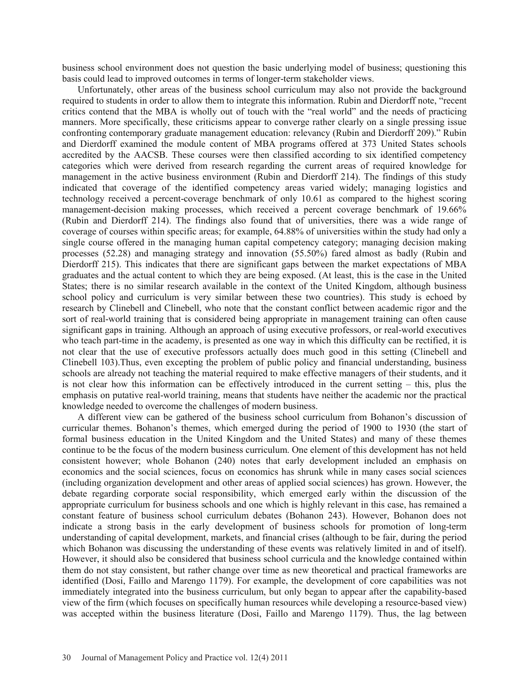business school environment does not question the basic underlying model of business; questioning this basis could lead to improved outcomes in terms of longer-term stakeholder views.

 Unfortunately, other areas of the business school curriculum may also not provide the background required to students in order to allow them to integrate this information. Rubin and Dierdorff note, "recent critics contend that the MBA is wholly out of touch with the "real world" and the needs of practicing manners. More specifically, these criticisms appear to converge rather clearly on a single pressing issue confronting contemporary graduate management education: relevancy (Rubin and Dierdorff 209)." Rubin and Dierdorff examined the module content of MBA programs offered at 373 United States schools accredited by the AACSB. These courses were then classified according to six identified competency categories which were derived from research regarding the current areas of required knowledge for management in the active business environment (Rubin and Dierdorff 214). The findings of this study indicated that coverage of the identified competency areas varied widely; managing logistics and technology received a percent-coverage benchmark of only 10.61 as compared to the highest scoring management-decision making processes, which received a percent coverage benchmark of 19.66% (Rubin and Dierdorff 214). The findings also found that of universities, there was a wide range of coverage of courses within specific areas; for example, 64.88% of universities within the study had only a single course offered in the managing human capital competency category; managing decision making processes (52.28) and managing strategy and innovation (55.50%) fared almost as badly (Rubin and Dierdorff 215). This indicates that there are significant gaps between the market expectations of MBA graduates and the actual content to which they are being exposed. (At least, this is the case in the United States; there is no similar research available in the context of the United Kingdom, although business school policy and curriculum is very similar between these two countries). This study is echoed by research by Clinebell and Clinebell, who note that the constant conflict between academic rigor and the sort of real-world training that is considered being appropriate in management training can often cause significant gaps in training. Although an approach of using executive professors, or real-world executives who teach part-time in the academy, is presented as one way in which this difficulty can be rectified, it is not clear that the use of executive professors actually does much good in this setting (Clinebell and Clinebell 103).Thus, even excepting the problem of public policy and financial understanding, business schools are already not teaching the material required to make effective managers of their students, and it is not clear how this information can be effectively introduced in the current setting – this, plus the emphasis on putative real-world training, means that students have neither the academic nor the practical knowledge needed to overcome the challenges of modern business.

 A different view can be gathered of the business school curriculum from Bohanon's discussion of curricular themes. Bohanon's themes, which emerged during the period of 1900 to 1930 (the start of formal business education in the United Kingdom and the United States) and many of these themes continue to be the focus of the modern business curriculum. One element of this development has not held consistent however; whole Bohanon (240) notes that early development included an emphasis on economics and the social sciences, focus on economics has shrunk while in many cases social sciences (including organization development and other areas of applied social sciences) has grown. However, the debate regarding corporate social responsibility, which emerged early within the discussion of the appropriate curriculum for business schools and one which is highly relevant in this case, has remained a constant feature of business school curriculum debates (Bohanon 243). However, Bohanon does not indicate a strong basis in the early development of business schools for promotion of long-term understanding of capital development, markets, and financial crises (although to be fair, during the period which Bohanon was discussing the understanding of these events was relatively limited in and of itself). However, it should also be considered that business school curricula and the knowledge contained within them do not stay consistent, but rather change over time as new theoretical and practical frameworks are identified (Dosi, Faillo and Marengo 1179). For example, the development of core capabilities was not immediately integrated into the business curriculum, but only began to appear after the capability-based view of the firm (which focuses on specifically human resources while developing a resource-based view) was accepted within the business literature (Dosi, Faillo and Marengo 1179). Thus, the lag between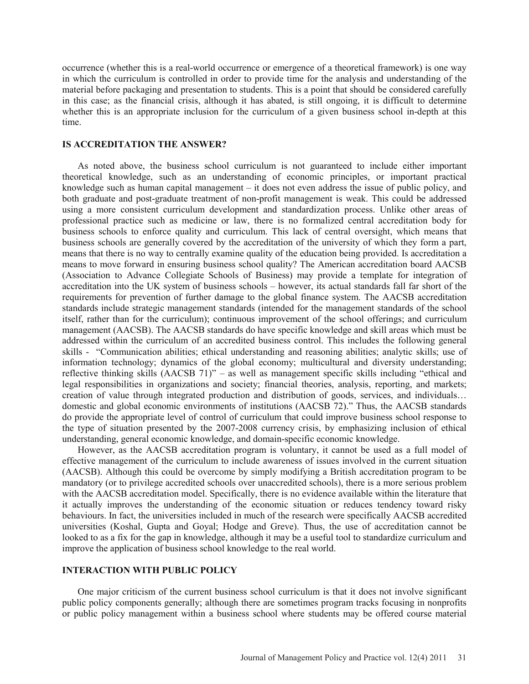occurrence (whether this is a real-world occurrence or emergence of a theoretical framework) is one way in which the curriculum is controlled in order to provide time for the analysis and understanding of the material before packaging and presentation to students. This is a point that should be considered carefully in this case; as the financial crisis, although it has abated, is still ongoing, it is difficult to determine whether this is an appropriate inclusion for the curriculum of a given business school in-depth at this time.

### **IS ACCREDITATION THE ANSWER?**

 As noted above, the business school curriculum is not guaranteed to include either important theoretical knowledge, such as an understanding of economic principles, or important practical knowledge such as human capital management – it does not even address the issue of public policy, and both graduate and post-graduate treatment of non-profit management is weak. This could be addressed using a more consistent curriculum development and standardization process. Unlike other areas of professional practice such as medicine or law, there is no formalized central accreditation body for business schools to enforce quality and curriculum. This lack of central oversight, which means that business schools are generally covered by the accreditation of the university of which they form a part, means that there is no way to centrally examine quality of the education being provided. Is accreditation a means to move forward in ensuring business school quality? The American accreditation board AACSB (Association to Advance Collegiate Schools of Business) may provide a template for integration of accreditation into the UK system of business schools – however, its actual standards fall far short of the requirements for prevention of further damage to the global finance system. The AACSB accreditation standards include strategic management standards (intended for the management standards of the school itself, rather than for the curriculum); continuous improvement of the school offerings; and curriculum management (AACSB). The AACSB standards do have specific knowledge and skill areas which must be addressed within the curriculum of an accredited business control. This includes the following general skills - "Communication abilities; ethical understanding and reasoning abilities; analytic skills; use of information technology; dynamics of the global economy; multicultural and diversity understanding; reflective thinking skills (AACSB 71)" – as well as management specific skills including "ethical and legal responsibilities in organizations and society; financial theories, analysis, reporting, and markets; creation of value through integrated production and distribution of goods, services, and individuals… domestic and global economic environments of institutions (AACSB 72)." Thus, the AACSB standards do provide the appropriate level of control of curriculum that could improve business school response to the type of situation presented by the 2007-2008 currency crisis, by emphasizing inclusion of ethical understanding, general economic knowledge, and domain-specific economic knowledge.

 However, as the AACSB accreditation program is voluntary, it cannot be used as a full model of effective management of the curriculum to include awareness of issues involved in the current situation (AACSB). Although this could be overcome by simply modifying a British accreditation program to be mandatory (or to privilege accredited schools over unaccredited schools), there is a more serious problem with the AACSB accreditation model. Specifically, there is no evidence available within the literature that it actually improves the understanding of the economic situation or reduces tendency toward risky behaviours. In fact, the universities included in much of the research were specifically AACSB accredited universities (Koshal, Gupta and Goyal; Hodge and Greve). Thus, the use of accreditation cannot be looked to as a fix for the gap in knowledge, although it may be a useful tool to standardize curriculum and improve the application of business school knowledge to the real world.

### **INTERACTION WITH PUBLIC POLICY**

 One major criticism of the current business school curriculum is that it does not involve significant public policy components generally; although there are sometimes program tracks focusing in nonprofits or public policy management within a business school where students may be offered course material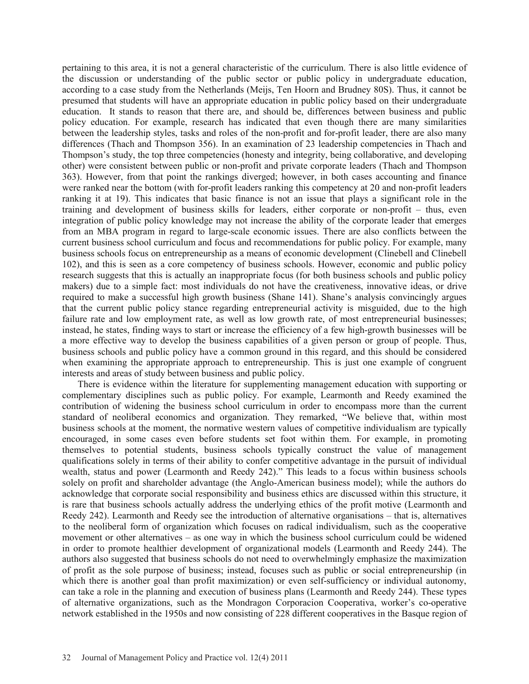pertaining to this area, it is not a general characteristic of the curriculum. There is also little evidence of the discussion or understanding of the public sector or public policy in undergraduate education, according to a case study from the Netherlands (Meijs, Ten Hoorn and Brudney 80S). Thus, it cannot be presumed that students will have an appropriate education in public policy based on their undergraduate education. It stands to reason that there are, and should be, differences between business and public policy education. For example, research has indicated that even though there are many similarities between the leadership styles, tasks and roles of the non-profit and for-profit leader, there are also many differences (Thach and Thompson 356). In an examination of 23 leadership competencies in Thach and Thompson's study, the top three competencies (honesty and integrity, being collaborative, and developing other) were consistent between public or non-profit and private corporate leaders (Thach and Thompson 363). However, from that point the rankings diverged; however, in both cases accounting and finance were ranked near the bottom (with for-profit leaders ranking this competency at 20 and non-profit leaders ranking it at 19). This indicates that basic finance is not an issue that plays a significant role in the training and development of business skills for leaders, either corporate or non-profit – thus, even integration of public policy knowledge may not increase the ability of the corporate leader that emerges from an MBA program in regard to large-scale economic issues. There are also conflicts between the current business school curriculum and focus and recommendations for public policy. For example, many business schools focus on entrepreneurship as a means of economic development (Clinebell and Clinebell 102), and this is seen as a core competency of business schools. However, economic and public policy research suggests that this is actually an inappropriate focus (for both business schools and public policy makers) due to a simple fact: most individuals do not have the creativeness, innovative ideas, or drive required to make a successful high growth business (Shane 141). Shane's analysis convincingly argues that the current public policy stance regarding entrepreneurial activity is misguided, due to the high failure rate and low employment rate, as well as low growth rate, of most entrepreneurial businesses; instead, he states, finding ways to start or increase the efficiency of a few high-growth businesses will be a more effective way to develop the business capabilities of a given person or group of people. Thus, business schools and public policy have a common ground in this regard, and this should be considered when examining the appropriate approach to entrepreneurship. This is just one example of congruent interests and areas of study between business and public policy.

 There is evidence within the literature for supplementing management education with supporting or complementary disciplines such as public policy. For example, Learmonth and Reedy examined the contribution of widening the business school curriculum in order to encompass more than the current standard of neoliberal economics and organization. They remarked, "We believe that, within most business schools at the moment, the normative western values of competitive individualism are typically encouraged, in some cases even before students set foot within them. For example, in promoting themselves to potential students, business schools typically construct the value of management qualifications solely in terms of their ability to confer competitive advantage in the pursuit of individual wealth, status and power (Learmonth and Reedy 242)." This leads to a focus within business schools solely on profit and shareholder advantage (the Anglo-American business model); while the authors do acknowledge that corporate social responsibility and business ethics are discussed within this structure, it is rare that business schools actually address the underlying ethics of the profit motive (Learmonth and Reedy 242). Learmonth and Reedy see the introduction of alternative organisations – that is, alternatives to the neoliberal form of organization which focuses on radical individualism, such as the cooperative movement or other alternatives – as one way in which the business school curriculum could be widened in order to promote healthier development of organizational models (Learmonth and Reedy 244). The authors also suggested that business schools do not need to overwhelmingly emphasize the maximization of profit as the sole purpose of business; instead, focuses such as public or social entrepreneurship (in which there is another goal than profit maximization) or even self-sufficiency or individual autonomy, can take a role in the planning and execution of business plans (Learmonth and Reedy 244). These types of alternative organizations, such as the Mondragon Corporacion Cooperativa, worker's co-operative network established in the 1950s and now consisting of 228 different cooperatives in the Basque region of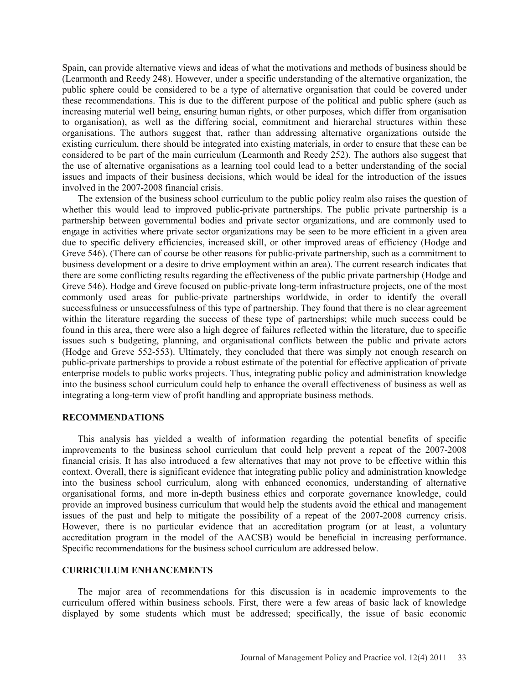Spain, can provide alternative views and ideas of what the motivations and methods of business should be (Learmonth and Reedy 248). However, under a specific understanding of the alternative organization, the public sphere could be considered to be a type of alternative organisation that could be covered under these recommendations. This is due to the different purpose of the political and public sphere (such as increasing material well being, ensuring human rights, or other purposes, which differ from organisation to organisation), as well as the differing social, commitment and hierarchal structures within these organisations. The authors suggest that, rather than addressing alternative organizations outside the existing curriculum, there should be integrated into existing materials, in order to ensure that these can be considered to be part of the main curriculum (Learmonth and Reedy 252). The authors also suggest that the use of alternative organisations as a learning tool could lead to a better understanding of the social issues and impacts of their business decisions, which would be ideal for the introduction of the issues involved in the 2007-2008 financial crisis.

 The extension of the business school curriculum to the public policy realm also raises the question of whether this would lead to improved public-private partnerships. The public private partnership is a partnership between governmental bodies and private sector organizations, and are commonly used to engage in activities where private sector organizations may be seen to be more efficient in a given area due to specific delivery efficiencies, increased skill, or other improved areas of efficiency (Hodge and Greve 546). (There can of course be other reasons for public-private partnership, such as a commitment to business development or a desire to drive employment within an area). The current research indicates that there are some conflicting results regarding the effectiveness of the public private partnership (Hodge and Greve 546). Hodge and Greve focused on public-private long-term infrastructure projects, one of the most commonly used areas for public-private partnerships worldwide, in order to identify the overall successfulness or unsuccessfulness of this type of partnership. They found that there is no clear agreement within the literature regarding the success of these type of partnerships; while much success could be found in this area, there were also a high degree of failures reflected within the literature, due to specific issues such s budgeting, planning, and organisational conflicts between the public and private actors (Hodge and Greve 552-553). Ultimately, they concluded that there was simply not enough research on public-private partnerships to provide a robust estimate of the potential for effective application of private enterprise models to public works projects. Thus, integrating public policy and administration knowledge into the business school curriculum could help to enhance the overall effectiveness of business as well as integrating a long-term view of profit handling and appropriate business methods.

#### **RECOMMENDATIONS**

 This analysis has yielded a wealth of information regarding the potential benefits of specific improvements to the business school curriculum that could help prevent a repeat of the 2007-2008 financial crisis. It has also introduced a few alternatives that may not prove to be effective within this context. Overall, there is significant evidence that integrating public policy and administration knowledge into the business school curriculum, along with enhanced economics, understanding of alternative organisational forms, and more in-depth business ethics and corporate governance knowledge, could provide an improved business curriculum that would help the students avoid the ethical and management issues of the past and help to mitigate the possibility of a repeat of the 2007-2008 currency crisis. However, there is no particular evidence that an accreditation program (or at least, a voluntary accreditation program in the model of the AACSB) would be beneficial in increasing performance. Specific recommendations for the business school curriculum are addressed below.

#### **CURRICULUM ENHANCEMENTS**

 The major area of recommendations for this discussion is in academic improvements to the curriculum offered within business schools. First, there were a few areas of basic lack of knowledge displayed by some students which must be addressed; specifically, the issue of basic economic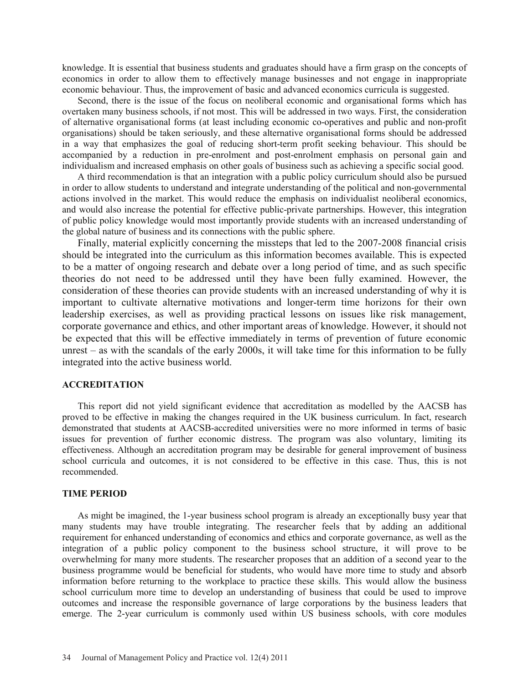knowledge. It is essential that business students and graduates should have a firm grasp on the concepts of economics in order to allow them to effectively manage businesses and not engage in inappropriate economic behaviour. Thus, the improvement of basic and advanced economics curricula is suggested.

 Second, there is the issue of the focus on neoliberal economic and organisational forms which has overtaken many business schools, if not most. This will be addressed in two ways. First, the consideration of alternative organisational forms (at least including economic co-operatives and public and non-profit organisations) should be taken seriously, and these alternative organisational forms should be addressed in a way that emphasizes the goal of reducing short-term profit seeking behaviour. This should be accompanied by a reduction in pre-enrolment and post-enrolment emphasis on personal gain and individualism and increased emphasis on other goals of business such as achieving a specific social good.

 A third recommendation is that an integration with a public policy curriculum should also be pursued in order to allow students to understand and integrate understanding of the political and non-governmental actions involved in the market. This would reduce the emphasis on individualist neoliberal economics, and would also increase the potential for effective public-private partnerships. However, this integration of public policy knowledge would most importantly provide students with an increased understanding of the global nature of business and its connections with the public sphere.

 Finally, material explicitly concerning the missteps that led to the 2007-2008 financial crisis should be integrated into the curriculum as this information becomes available. This is expected to be a matter of ongoing research and debate over a long period of time, and as such specific theories do not need to be addressed until they have been fully examined. However, the consideration of these theories can provide students with an increased understanding of why it is important to cultivate alternative motivations and longer-term time horizons for their own leadership exercises, as well as providing practical lessons on issues like risk management, corporate governance and ethics, and other important areas of knowledge. However, it should not be expected that this will be effective immediately in terms of prevention of future economic unrest – as with the scandals of the early 2000s, it will take time for this information to be fully integrated into the active business world.

#### **ACCREDITATION**

 This report did not yield significant evidence that accreditation as modelled by the AACSB has proved to be effective in making the changes required in the UK business curriculum. In fact, research demonstrated that students at AACSB-accredited universities were no more informed in terms of basic issues for prevention of further economic distress. The program was also voluntary, limiting its effectiveness. Although an accreditation program may be desirable for general improvement of business school curricula and outcomes, it is not considered to be effective in this case. Thus, this is not recommended.

### **TIME PERIOD**

 As might be imagined, the 1-year business school program is already an exceptionally busy year that many students may have trouble integrating. The researcher feels that by adding an additional requirement for enhanced understanding of economics and ethics and corporate governance, as well as the integration of a public policy component to the business school structure, it will prove to be overwhelming for many more students. The researcher proposes that an addition of a second year to the business programme would be beneficial for students, who would have more time to study and absorb information before returning to the workplace to practice these skills. This would allow the business school curriculum more time to develop an understanding of business that could be used to improve outcomes and increase the responsible governance of large corporations by the business leaders that emerge. The 2-year curriculum is commonly used within US business schools, with core modules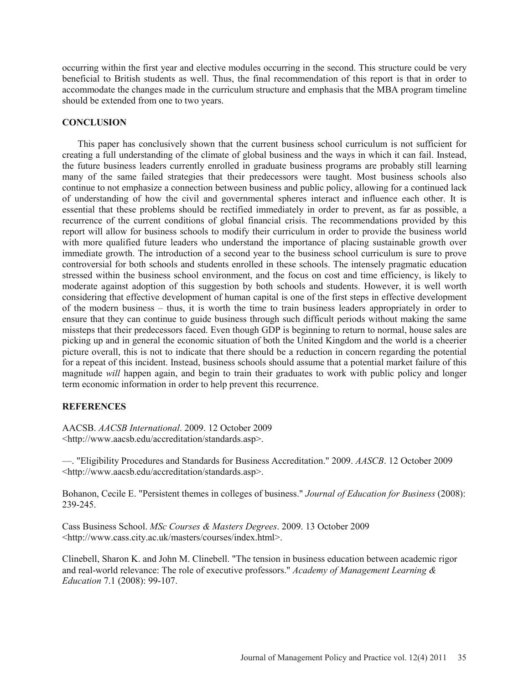occurring within the first year and elective modules occurring in the second. This structure could be very beneficial to British students as well. Thus, the final recommendation of this report is that in order to accommodate the changes made in the curriculum structure and emphasis that the MBA program timeline should be extended from one to two years.

### **CONCLUSION**

 This paper has conclusively shown that the current business school curriculum is not sufficient for creating a full understanding of the climate of global business and the ways in which it can fail. Instead, the future business leaders currently enrolled in graduate business programs are probably still learning many of the same failed strategies that their predecessors were taught. Most business schools also continue to not emphasize a connection between business and public policy, allowing for a continued lack of understanding of how the civil and governmental spheres interact and influence each other. It is essential that these problems should be rectified immediately in order to prevent, as far as possible, a recurrence of the current conditions of global financial crisis. The recommendations provided by this report will allow for business schools to modify their curriculum in order to provide the business world with more qualified future leaders who understand the importance of placing sustainable growth over immediate growth. The introduction of a second year to the business school curriculum is sure to prove controversial for both schools and students enrolled in these schools. The intensely pragmatic education stressed within the business school environment, and the focus on cost and time efficiency, is likely to moderate against adoption of this suggestion by both schools and students. However, it is well worth considering that effective development of human capital is one of the first steps in effective development of the modern business – thus, it is worth the time to train business leaders appropriately in order to ensure that they can continue to guide business through such difficult periods without making the same missteps that their predecessors faced. Even though GDP is beginning to return to normal, house sales are picking up and in general the economic situation of both the United Kingdom and the world is a cheerier picture overall, this is not to indicate that there should be a reduction in concern regarding the potential for a repeat of this incident. Instead, business schools should assume that a potential market failure of this magnitude *will* happen again, and begin to train their graduates to work with public policy and longer term economic information in order to help prevent this recurrence.

# **REFERENCES**

AACSB. *AACSB International*. 2009. 12 October 2009 <http://www.aacsb.edu/accreditation/standards.asp>.

—. "Eligibility Procedures and Standards for Business Accreditation." 2009. *AASCB*. 12 October 2009 <http://www.aacsb.edu/accreditation/standards.asp>.

Bohanon, Cecile E. "Persistent themes in colleges of business." *Journal of Education for Business* (2008): 239-245.

Cass Business School. *MSc Courses & Masters Degrees*. 2009. 13 October 2009 <http://www.cass.city.ac.uk/masters/courses/index.html>.

Clinebell, Sharon K. and John M. Clinebell. "The tension in business education between academic rigor and real-world relevance: The role of executive professors." *Academy of Management Learning & Education* 7.1 (2008): 99-107.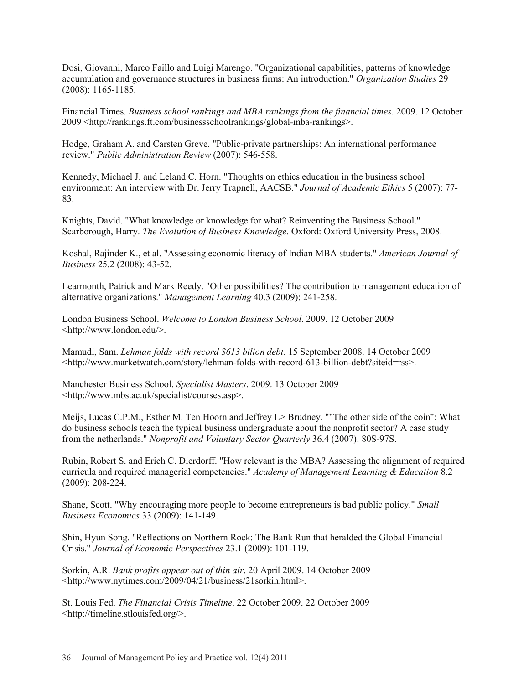Dosi, Giovanni, Marco Faillo and Luigi Marengo. "Organizational capabilities, patterns of knowledge accumulation and governance structures in business firms: An introduction." *Organization Studies* 29 (2008): 1165-1185.

Financial Times. *Business school rankings and MBA rankings from the financial times*. 2009. 12 October 2009 <http://rankings.ft.com/businessschoolrankings/global-mba-rankings>.

Hodge, Graham A. and Carsten Greve. "Public-private partnerships: An international performance review." *Public Administration Review* (2007): 546-558.

Kennedy, Michael J. and Leland C. Horn. "Thoughts on ethics education in the business school environment: An interview with Dr. Jerry Trapnell, AACSB." *Journal of Academic Ethics* 5 (2007): 77- 83.

Knights, David. "What knowledge or knowledge for what? Reinventing the Business School." Scarborough, Harry. *The Evolution of Business Knowledge*. Oxford: Oxford University Press, 2008.

Koshal, Rajinder K., et al. "Assessing economic literacy of Indian MBA students." *American Journal of Business* 25.2 (2008): 43-52.

Learmonth, Patrick and Mark Reedy. "Other possibilities? The contribution to management education of alternative organizations." *Management Learning* 40.3 (2009): 241-258.

London Business School. *Welcome to London Business School*. 2009. 12 October 2009 <http://www.london.edu/>.

Mamudi, Sam. *Lehman folds with record \$613 bilion debt*. 15 September 2008. 14 October 2009 <http://www.marketwatch.com/story/lehman-folds-with-record-613-billion-debt?siteid=rss>.

Manchester Business School. *Specialist Masters*. 2009. 13 October 2009 <http://www.mbs.ac.uk/specialist/courses.asp>.

Meijs, Lucas C.P.M., Esther M. Ten Hoorn and Jeffrey L> Brudney. ""The other side of the coin": What do business schools teach the typical business undergraduate about the nonprofit sector? A case study from the netherlands." *Nonprofit and Voluntary Sector Quarterly* 36.4 (2007): 80S-97S.

Rubin, Robert S. and Erich C. Dierdorff. "How relevant is the MBA? Assessing the alignment of required curricula and required managerial competencies." *Academy of Management Learning & Education* 8.2 (2009): 208-224.

Shane, Scott. "Why encouraging more people to become entrepreneurs is bad public policy." *Small Business Economics* 33 (2009): 141-149.

Shin, Hyun Song. "Reflections on Northern Rock: The Bank Run that heralded the Global Financial Crisis." *Journal of Economic Perspectives* 23.1 (2009): 101-119.

Sorkin, A.R. *Bank profits appear out of thin air*. 20 April 2009. 14 October 2009 <http://www.nytimes.com/2009/04/21/business/21sorkin.html>.

St. Louis Fed. *The Financial Crisis Timeline*. 22 October 2009. 22 October 2009 <http://timeline.stlouisfed.org/>.